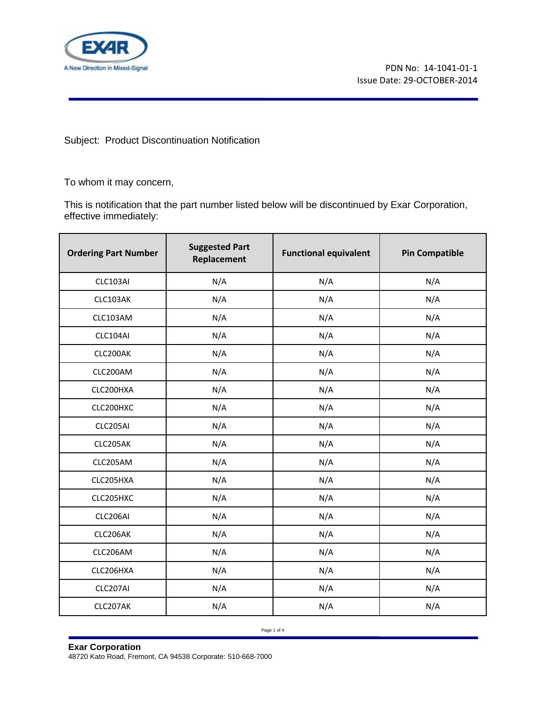

Subject: Product Discontinuation Notification

To whom it may concern,

This is notification that the part number listed below will be discontinued by Exar Corporation, effective immediately:

| <b>Ordering Part Number</b> | <b>Suggested Part</b><br>Replacement | <b>Functional equivalent</b> | <b>Pin Compatible</b> |
|-----------------------------|--------------------------------------|------------------------------|-----------------------|
| CLC103AI                    | N/A                                  | N/A                          | N/A                   |
| CLC103AK                    | N/A                                  | N/A                          | N/A                   |
| CLC103AM                    | N/A                                  | N/A                          | N/A                   |
| CLC104AI                    | N/A                                  | N/A                          | N/A                   |
| CLC200AK                    | N/A                                  | N/A                          | N/A                   |
| CLC200AM                    | N/A                                  | N/A                          | N/A                   |
| CLC200HXA                   | N/A                                  | N/A                          | N/A                   |
| CLC200HXC                   | N/A                                  | N/A                          | N/A                   |
| CLC205AI                    | N/A                                  | N/A                          | N/A                   |
| CLC205AK                    | N/A                                  | N/A                          | N/A                   |
| CLC205AM                    | N/A                                  | N/A                          | N/A                   |
| CLC205HXA                   | N/A                                  | N/A                          | N/A                   |
| CLC205HXC                   | N/A                                  | N/A                          | N/A                   |
| CLC206AI                    | N/A                                  | N/A                          | N/A                   |
| CLC206AK                    | N/A                                  | N/A                          | N/A                   |
| CLC206AM                    | N/A                                  | N/A                          | N/A                   |
| CLC206HXA                   | N/A                                  | N/A                          | N/A                   |
| CLC207AI                    | N/A                                  | N/A                          | N/A                   |
| CLC207AK                    | N/A                                  | N/A                          | N/A                   |

Page 1 of 4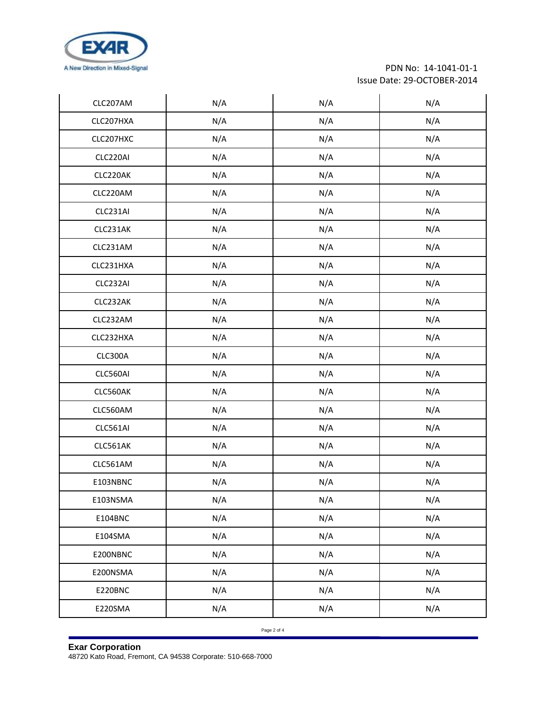

## PDN No: 14-1041-01-1 Issue Date: 29-OCTOBER-2014

| CLC207AM  | N/A | N/A | N/A |
|-----------|-----|-----|-----|
| CLC207HXA | N/A | N/A | N/A |
| CLC207HXC | N/A | N/A | N/A |
| CLC220AI  | N/A | N/A | N/A |
| CLC220AK  | N/A | N/A | N/A |
| CLC220AM  | N/A | N/A | N/A |
| CLC231AI  | N/A | N/A | N/A |
| CLC231AK  | N/A | N/A | N/A |
| CLC231AM  | N/A | N/A | N/A |
| CLC231HXA | N/A | N/A | N/A |
| CLC232AI  | N/A | N/A | N/A |
| CLC232AK  | N/A | N/A | N/A |
| CLC232AM  | N/A | N/A | N/A |
| CLC232HXA | N/A | N/A | N/A |
| CLC300A   | N/A | N/A | N/A |
| CLC560AI  | N/A | N/A | N/A |
| CLC560AK  | N/A | N/A | N/A |
| CLC560AM  | N/A | N/A | N/A |
| CLC561AI  | N/A | N/A | N/A |
| CLC561AK  | N/A | N/A | N/A |
| CLC561AM  | N/A | N/A | N/A |
| E103NBNC  | N/A | N/A | N/A |
| E103NSMA  | N/A | N/A | N/A |
| E104BNC   | N/A | N/A | N/A |
| E104SMA   | N/A | N/A | N/A |
| E200NBNC  | N/A | N/A | N/A |
| E200NSMA  | N/A | N/A | N/A |
| E220BNC   | N/A | N/A | N/A |
| E220SMA   | N/A | N/A | N/A |

Page 2 of 4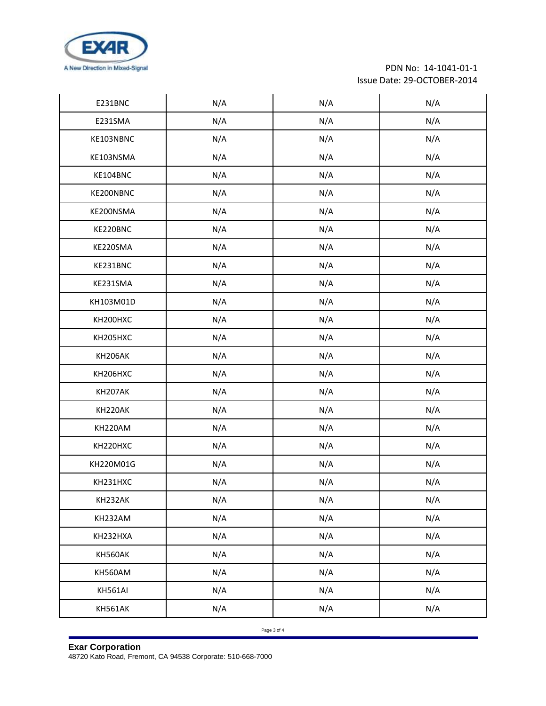

## PDN No: 14-1041-01-1 Issue Date: 29-OCTOBER-2014

| E231BNC        | N/A | N/A | N/A |
|----------------|-----|-----|-----|
| E231SMA        | N/A | N/A | N/A |
| KE103NBNC      | N/A | N/A | N/A |
| KE103NSMA      | N/A | N/A | N/A |
| KE104BNC       | N/A | N/A | N/A |
| KE200NBNC      | N/A | N/A | N/A |
| KE200NSMA      | N/A | N/A | N/A |
| KE220BNC       | N/A | N/A | N/A |
| KE220SMA       | N/A | N/A | N/A |
| KE231BNC       | N/A | N/A | N/A |
| KE231SMA       | N/A | N/A | N/A |
| KH103M01D      | N/A | N/A | N/A |
| KH200HXC       | N/A | N/A | N/A |
| KH205HXC       | N/A | N/A | N/A |
| KH206AK        | N/A | N/A | N/A |
| KH206HXC       | N/A | N/A | N/A |
| KH207AK        | N/A | N/A | N/A |
| KH220AK        | N/A | N/A | N/A |
| KH220AM        | N/A | N/A | N/A |
| KH220HXC       | N/A | N/A | N/A |
| KH220M01G      | N/A | N/A | N/A |
| KH231HXC       | N/A | N/A | N/A |
| KH232AK        | N/A | N/A | N/A |
| KH232AM        | N/A | N/A | N/A |
| KH232HXA       | N/A | N/A | N/A |
| KH560AK        | N/A | N/A | N/A |
| KH560AM        | N/A | N/A | N/A |
| KH561AI        | N/A | N/A | N/A |
| <b>KH561AK</b> | N/A | N/A | N/A |

Page 3 of 4